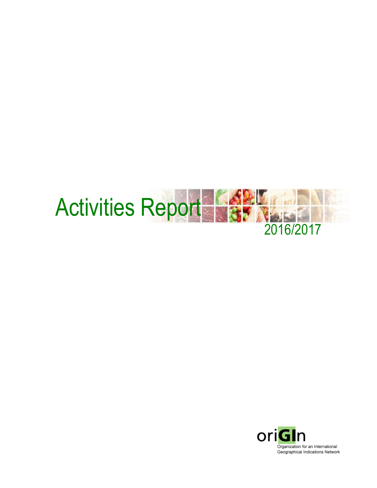

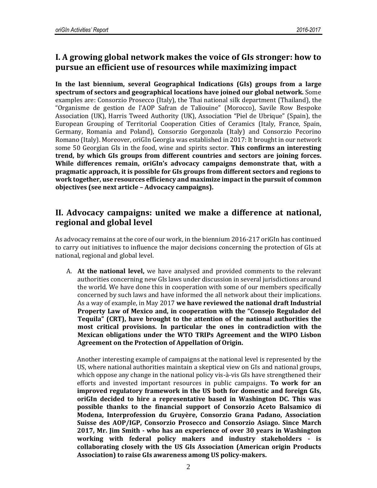## **I. A growing global network makes the voice of GIs stronger: how to pursue an efficient use of resources while maximizing impact**

**In the last biennium, several Geographical Indications (GIs) groups from a large spectrum of sectors and geographical locations have joined our global network.** Some examples are: Consorzio Prosecco (Italy), the Thai national silk department (Thailand), the "Organisme de gestion de l'AOP Safran de Taliouine" (Morocco), Savile Row Bespoke Association (UK), Harris Tweed Authority (UK), Association "Piel de Ubrique" (Spain), the European Grouping of Territorial Cooperation Cities of Ceramics (Italy, France, Spain, Germany, Romania and Poland), Consorzio Gorgonzola (Italy) and Consorzio Pecorino Romano (Italy). Moreover, oriGIn Georgia was established in 2017: It brought in our network some 50 Georgian GIs in the food, wine and spirits sector. **This confirms an interesting trend, by which GIs groups from different countries and sectors are joining forces. While differences remain, oriGIn's advocacy campaigns demonstrate that, with a pragmatic approach, it is possible for GIs groups from different sectors and regions to work together, use resources efficiency and maximize impact in the pursuit of common objectives (see next article – Advocacy campaigns).** 

#### **II. Advocacy campaigns: united we make a difference at national, regional and global level**

As advocacy remains at the core of our work, in the biennium 2016-217 oriGIn has continued to carry out initiatives to influence the major decisions concerning the protection of GIs at national, regional and global level.

A. **At the national level,** we have analysed and provided comments to the relevant authorities concerning new GIs laws under discussion in several jurisdictions around the world. We have done this in cooperation with some of our members specifically concerned by such laws and have informed the all network about their implications. As a way of example, in May 2017 **we have reviewed the national draft Industrial Property Law of Mexico and, in cooperation with the "Consejo Regulador del Tequila" (CRT), have brought to the attention of the national authorities the most critical provisions. In particular the ones in contradiction with the Mexican obligations under the WTO TRIPs Agreement and the WIPO Lisbon Agreement on the Protection of Appellation of Origin.**

Another interesting example of campaigns at the national level is represented by the US, where national authorities maintain a skeptical view on GIs and national groups, which oppose any change in the national policy vis-à-vis GIs have strengthened their efforts and invested important resources in public campaigns. **To work for an improved regulatory framework in the US both for domestic and foreign GIs, oriGIn decided to hire a representative based in Washington DC. This was possible thanks to the financial support of Consorzio Aceto Balsamico di Modena, Interprofession du Gruyère, Consorzio Grana Padano, Association Suisse des AOP/IGP, Consorzio Prosecco and Consorzio Asiago. Since March 2017, Mr. Jim Smith - who has an experience of over 30 years in Washington working with federal policy makers and industry stakeholders - is collaborating closely with the US GIs Association (American origin Products Association) to raise GIs awareness among US policy-makers.**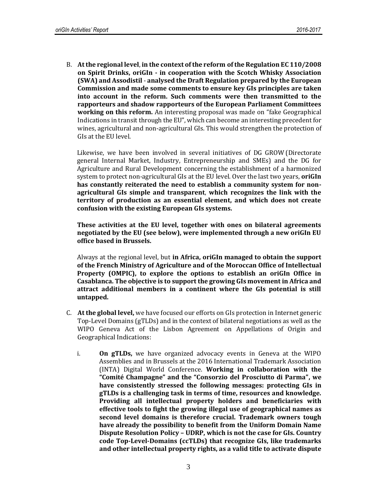B. **At the regional level**, **in the context of the reform of the Regulation EC 110/2008 on Spirit Drinks, oriGIn - in cooperation with the Scotch Whisky Association (SWA) and Assodistil** - **analysed the Draft Regulation prepared by the European Commission and made some comments to ensure key GIs principles are taken into account in the reform. Such comments were then transmitted to the rapporteurs and shadow rapporteurs of the European Parliament Committees working on this reform.** An interesting proposal was made on "fake Geographical Indications in transit through the EU", which can become an interesting precedent for wines, agricultural and non-agricultural GIs. This would strengthen the protection of GIs at the EU level.

Likewise, we have been involved in several initiatives of DG GROW (Directorate general Internal Market, Industry, Entrepreneurship and SMEs) and the DG for Agriculture and Rural Development concerning the establishment of a harmonized system to protect non-agricultural GIs at the EU level. Over the last two years, **oriGIn has constantly reiterated the need to establish a community system for nonagricultural GIs simple and transparent**, **which recognizes the link with the territory of production as an essential element, and which does not create confusion with the existing European GIs systems.** 

**These activities at the EU level, together with ones on bilateral agreements negotiated by the EU (see below), were implemented through a new oriGIn EU office based in Brussels.**

Always at the regional level, but **in Africa, oriGIn managed to obtain the support of the French Ministry of Agriculture and of the Moroccan Office of Intellectual Property (OMPIC), to explore the options to establish an oriGIn Office in Casablanca. The objective is to support the growing GIs movement in Africa and attract additional members in a continent where the GIs potential is still untapped.** 

- C. **At the global level,** we have focused our efforts on GIs protection in Internet generic Top-Level Domains (gTLDs) and in the context of bilateral negotiations as well as the WIPO Geneva Act of the Lisbon Agreement on Appellations of Origin and Geographical Indications:
	- i. **On gTLDs,** we have organized advocacy events in Geneva at the WIPO Assemblies and in Brussels at the 2016 International Trademark Association (INTA) Digital World Conference. **Working in collaboration with the "Comité Champagne" and the "Consorzio del Prosciutto di Parma", we have consistently stressed the following messages: protecting GIs in gTLDs is a challenging task in terms of time, resources and knowledge. Providing all intellectual property holders and beneficiaries with effective tools to fight the growing illegal use of geographical names as second level domains is therefore crucial. Trademark owners tough have already the possibility to benefit from the Uniform Domain Name Dispute Resolution Policy – UDRP, which is not the case for GIs. Country code Top-Level-Domains (ccTLDs) that recognize GIs, like trademarks and other intellectual property rights, as a valid title to activate dispute**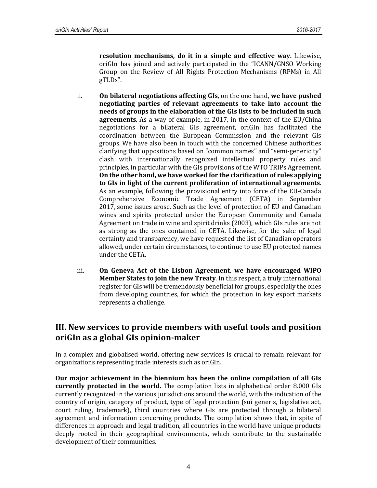**resolution mechanisms, do it in a simple and effective way.** Likewise, oriGIn has joined and actively participated in the "ICANN**/**GNSO Working Group on the Review of All Rights Protection Mechanisms (RPMs) in All gTLDs".

- ii. **On bilateral negotiations affecting GIs**, on the one hand, **we have pushed negotiating parties of relevant agreements to take into account the needs of groups in the elaboration of the GIs lists to be included in such agreements**. As a way of example, in 2017, in the context of the EU/China negotiations for a bilateral GIs agreement, oriGIn has facilitated the coordination between the European Commission and the relevant GIs groups. We have also been in touch with the concerned Chinese authorities clarifying that oppositions based on "common names" and "semi-genericity" clash with internationally recognized intellectual property rules and principles, in particular with the GIs provisions of the WTO TRIPs Agreement. **On the other hand, we have worked for the clarification of rules applying to GIs in light of the current proliferation of international agreements.** As an example, following the provisional entry into force of the EU-Canada Comprehensive Economic Trade Agreement (CETA) in September 2017, some issues arose. Such as the level of protection of EU and Canadian wines and spirits protected under the European Community and Canada Agreement on trade in wine and spirit drinks (2003), which GIs rules are not as strong as the ones contained in CETA. Likewise, for the sake of legal certainty and transparency, we have requested the list of Canadian operators allowed, under certain circumstances, to continue to use EU protected names under the CETA.
- iii. **On Geneva Act of the Lisbon Agreement**, **we have encouraged WIPO Member States to join the new Treaty**. In this respect, a truly international register for GIs will be tremendously beneficial for groups, especially the ones from developing countries, for which the protection in key export markets represents a challenge.

## **III. New services to provide members with useful tools and position oriGIn as a global GIs opinion-maker**

In a complex and globalised world, offering new services is crucial to remain relevant for organizations representing trade interests such as oriGIn.

**Our major achievement in the biennium has been the online compilation of all GIs currently protected in the world.** The compilation lists in alphabetical order 8.000 GIs currently recognized in the various jurisdictions around the world, with the indication of the country of origin, category of product, type of legal protection (sui generis, legislative act, court ruling, trademark), third countries where GIs are protected through a bilateral agreement and information concerning products. The compilation shows that, in spite of differences in approach and legal tradition, all countries in the world have unique products deeply rooted in their geographical environments, which contribute to the sustainable development of their communities.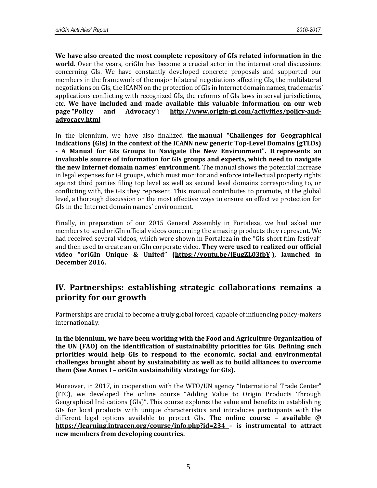**We have also created the most complete repository of GIs related information in the world.** Over the years, oriGIn has become a crucial actor in the international discussions concerning GIs. We have constantly developed concrete proposals and supported our members in the framework of the major bilateral negotiations affecting GIs, the multilateral negotiations on GIs, the ICANN on the protection of GIs in Internet domain names, trademarks' applications conflicting with recognized GIs, the reforms of GIs laws in serval jurisdictions, etc. **We have included and made available this valuable information on our web page "Policy and Advocacy": [http://www.origin-gi.com/activities/policy-and](http://www.origin-gi.com/activities/policy-and-advocacy.html)[advocacy.html](http://www.origin-gi.com/activities/policy-and-advocacy.html)**

In the biennium, we have also finalized **the manual "Challenges for [Geographical](http://www.origin-gi.com/images/stories/PDFs/English/oriGIn_Publications_2010/GI_gTLDs_JAN2016_WEB_VERSION.pdf) [Indications](http://www.origin-gi.com/images/stories/PDFs/English/oriGIn_Publications_2010/GI_gTLDs_JAN2016_WEB_VERSION.pdf) (GIs) in the context of the ICANN new generic Top-Level Domains (gTLDs) - A Manual for GIs Groups to Navigate the New [Environment](http://www.origin-gi.com/images/stories/PDFs/English/oriGIn_Publications_2010/GI_gTLDs_JAN2016_WEB_VERSION.pdf)". It represents an invaluable source of information for GIs groups and experts, which need to navigate the new Internet domain names' environment.** The manual shows the potential increase in legal expenses for GI groups, which must monitor and enforce intellectual property rights against third parties filing top level as well as second level domains corresponding to, or conflicting with, the GIs they represent. This manual contributes to promote, at the global level, a thorough discussion on the most effective ways to ensure an effective protection for GIs in the Internet domain names' environment.

Finally, in preparation of our 2015 General Assembly in Fortaleza, we had asked our members to send oriGIn official videos concerning the amazing products they represent. We had received several videos, which were shown in Fortaleza in the "GIs short film festival" and then used to create an oriGIn corporate video. **They were used to realized our official video "oriGIn Unique & United" [\(https://youtu.be/IEugZL03fbY](https://youtu.be/IEugZL03fbY) ), launched in December 2016.**

#### **IV. Partnerships: establishing strategic collaborations remains a priority for our growth**

Partnerships are crucial to become a truly global forced, capable of influencing policy-makers internationally.

**In the biennium, we have been working with the Food and Agriculture Organization of the UN (FAO) on the identification of sustainability priorities for GIs. Defining such priorities would help GIs to respond to the economic, social and environmental challenges brought about by sustainability as well as to build alliances to overcome them (See Annex I – oriGIn sustainability strategy for GIs).**

Moreover, in 2017, in cooperation with the WTO/UN agency "International Trade Center" (ITC), we developed the online course "Adding Value to Origin Products Through Geographical Indications (GIs)". This course explores the value and benefits in establishing GIs for local products with unique characteristics and introduces participants with the different legal options available to protect GIs. **The online course – available @ <https://learning.intracen.org/course/info.php?id=234> – is instrumental to attract new members from developing countries.**